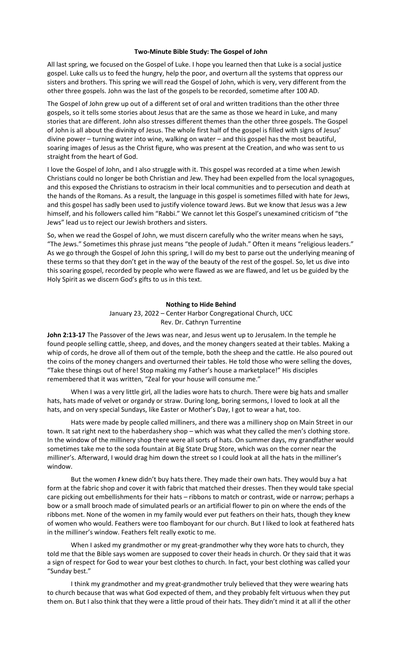## **Two-Minute Bible Study: The Gospel of John**

All last spring, we focused on the Gospel of Luke. I hope you learned then that Luke is a social justice gospel. Luke calls us to feed the hungry, help the poor, and overturn all the systems that oppress our sisters and brothers. This spring we will read the Gospel of John, which is very, very different from the other three gospels. John was the last of the gospels to be recorded, sometime after 100 AD.

The Gospel of John grew up out of a different set of oral and written traditions than the other three gospels, so it tells some stories about Jesus that are the same as those we heard in Luke, and many stories that are different. John also stresses different themes than the other three gospels. The Gospel of John is all about the divinity of Jesus. The whole first half of the gospel is filled with signs of Jesus' divine power – turning water into wine, walking on water – and this gospel has the most beautiful, soaring images of Jesus as the Christ figure, who was present at the Creation, and who was sent to us straight from the heart of God.

I love the Gospel of John, and I also struggle with it. This gospel was recorded at a time when Jewish Christians could no longer be both Christian and Jew. They had been expelled from the local synagogues, and this exposed the Christians to ostracism in their local communities and to persecution and death at the hands of the Romans. As a result, the language in this gospel is sometimes filled with hate for Jews, and this gospel has sadly been used to justify violence toward Jews. But we know that Jesus was a Jew himself, and his followers called him "Rabbi." We cannot let this Gospel's unexamined criticism of "the Jews" lead us to reject our Jewish brothers and sisters.

So, when we read the Gospel of John, we must discern carefully who the writer means when he says, "The Jews." Sometimes this phrase just means "the people of Judah." Often it means "religious leaders." As we go through the Gospel of John this spring, I will do my best to parse out the underlying meaning of these terms so that they don't get in the way of the beauty of the rest of the gospel. So, let us dive into this soaring gospel, recorded by people who were flawed as we are flawed, and let us be guided by the Holy Spirit as we discern God's gifts to us in this text.

## **Nothing to Hide Behind** January 23, 2022 – Center Harbor Congregational Church, UCC

Rev. Dr. Cathryn Turrentine

**John 2:13-17** The Passover of the Jews was near, and Jesus went up to Jerusalem. In the temple he found people selling cattle, sheep, and doves, and the money changers seated at their tables. Making a whip of cords, he drove all of them out of the temple, both the sheep and the cattle. He also poured out the coins of the money changers and overturned their tables. He told those who were selling the doves, "Take these things out of here! Stop making my Father's house a marketplace!" His disciples remembered that it was written, "Zeal for your house will consume me."

When I was a very little girl, all the ladies wore hats to church. There were big hats and smaller hats, hats made of velvet or organdy or straw. During long, boring sermons, I loved to look at all the hats, and on very special Sundays, like Easter or Mother's Day, I got to wear a hat, too.

Hats were made by people called milliners, and there was a millinery shop on Main Street in our town. It sat right next to the haberdashery shop – which was what they called the men's clothing store. In the window of the millinery shop there were all sorts of hats. On summer days, my grandfather would sometimes take me to the soda fountain at Big State Drug Store, which was on the corner near the milliner's. Afterward, I would drag him down the street so I could look at all the hats in the milliner's window.

But the women *I* knew didn't buy hats there. They made their own hats. They would buy a hat form at the fabric shop and cover it with fabric that matched their dresses. Then they would take special care picking out embellishments for their hats – ribbons to match or contrast, wide or narrow; perhaps a bow or a small brooch made of simulated pearls or an artificial flower to pin on where the ends of the ribbons met. None of the women in my family would ever put feathers on their hats, though they knew of women who would. Feathers were too flamboyant for our church. But I liked to look at feathered hats in the milliner's window. Feathers felt really exotic to me.

When I asked my grandmother or my great-grandmother why they wore hats to church, they told me that the Bible says women are supposed to cover their heads in church. Or they said that it was a sign of respect for God to wear your best clothes to church. In fact, your best clothing was called your "Sunday best."

I think my grandmother and my great-grandmother truly believed that they were wearing hats to church because that was what God expected of them, and they probably felt virtuous when they put them on. But I also think that they were a little proud of their hats. They didn't mind it at all if the other